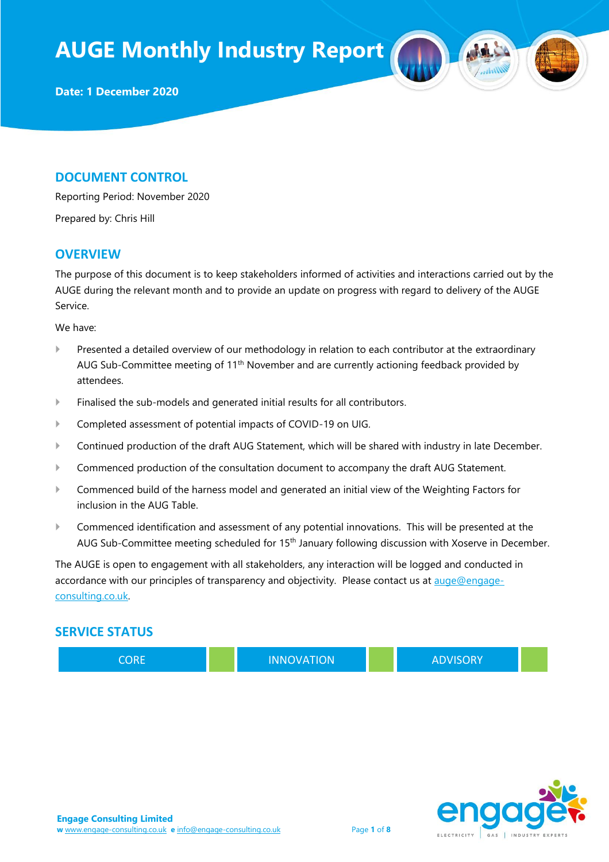#### **DOCUMENT CONTROL**

Reporting Period: November 2020

Prepared by: Chris Hill

#### **OVERVIEW**

The purpose of this document is to keep stakeholders informed of activities and interactions carried out by the AUGE during the relevant month and to provide an update on progress with regard to delivery of the AUGE Service.

We have:

- Presented a detailed overview of our methodology in relation to each contributor at the extraordinary AUG Sub-Committee meeting of 11<sup>th</sup> November and are currently actioning feedback provided by attendees.
- Finalised the sub-models and generated initial results for all contributors.
- Completed assessment of potential impacts of COVID-19 on UIG.
- Continued production of the draft AUG Statement, which will be shared with industry in late December.
- Commenced production of the consultation document to accompany the draft AUG Statement.
- Commenced build of the harness model and generated an initial view of the Weighting Factors for inclusion in the AUG Table.
- Commenced identification and assessment of any potential innovations. This will be presented at the AUG Sub-Committee meeting scheduled for 15<sup>th</sup> January following discussion with Xoserve in December.

The AUGE is open to engagement with all stakeholders, any interaction will be logged and conducted in accordance with our principles of transparency and objectivity. Please contact us at [auge@engage](mailto:auge@engage-consulting.co.uk)[consulting.co.uk.](mailto:auge@engage-consulting.co.uk) 

#### **SERVICE STATUS**

CORE **INNOVATION ADVISORY** 

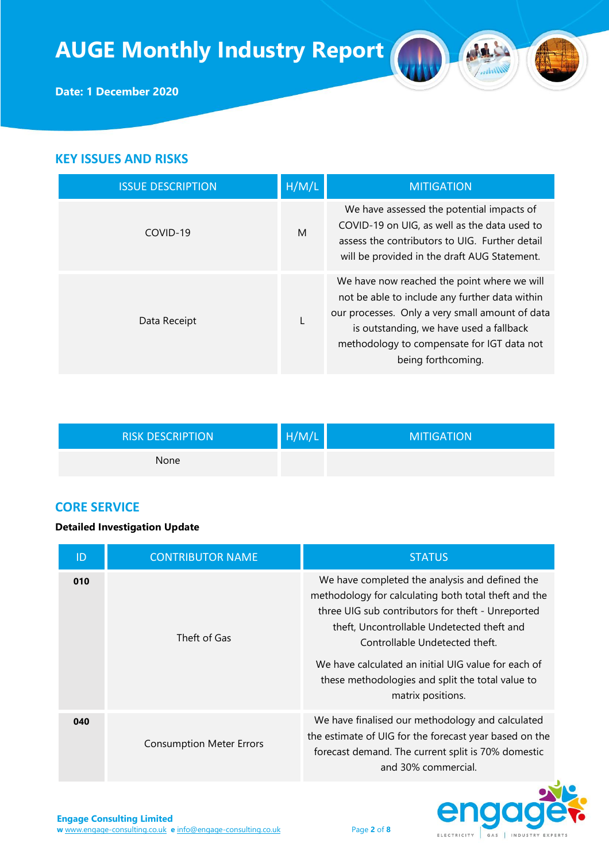

## **KEY ISSUES AND RISKS**

| <b>ISSUE DESCRIPTION</b> | H/M/L | <b>MITIGATION</b>                                                                                                                                                                                                                                               |
|--------------------------|-------|-----------------------------------------------------------------------------------------------------------------------------------------------------------------------------------------------------------------------------------------------------------------|
| COVID-19                 | M     | We have assessed the potential impacts of<br>COVID-19 on UIG, as well as the data used to<br>assess the contributors to UIG. Further detail<br>will be provided in the draft AUG Statement.                                                                     |
| Data Receipt             |       | We have now reached the point where we will<br>not be able to include any further data within<br>our processes. Only a very small amount of data<br>is outstanding, we have used a fallback<br>methodology to compensate for IGT data not<br>being forthcoming. |

| <b>RISK DESCRIPTION</b> | H/M/L | <b>MITIGATION</b> |
|-------------------------|-------|-------------------|
| None                    |       |                   |

### **CORE SERVICE**

#### **Detailed Investigation Update**

| ID  | <b>CONTRIBUTOR NAME</b>         | <b>STATUS</b>                                                                                                                                                                                                                                                                                                                                                               |
|-----|---------------------------------|-----------------------------------------------------------------------------------------------------------------------------------------------------------------------------------------------------------------------------------------------------------------------------------------------------------------------------------------------------------------------------|
| 010 | Theft of Gas                    | We have completed the analysis and defined the<br>methodology for calculating both total theft and the<br>three UIG sub contributors for theft - Unreported<br>theft, Uncontrollable Undetected theft and<br>Controllable Undetected theft.<br>We have calculated an initial UIG value for each of<br>these methodologies and split the total value to<br>matrix positions. |
| 040 | <b>Consumption Meter Errors</b> | We have finalised our methodology and calculated<br>the estimate of UIG for the forecast year based on the<br>forecast demand. The current split is 70% domestic<br>and 30% commercial.                                                                                                                                                                                     |



A

 $\sqrt{M}$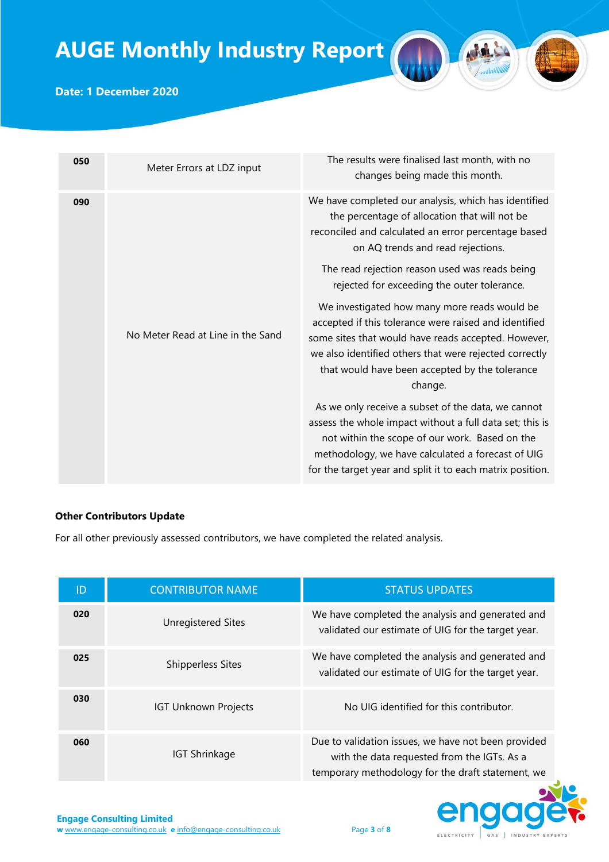

### **Date: 1 December 2020**

| 050 | Meter Errors at LDZ input                                                                                                                                                                         | The results were finalised last month, with no<br>changes being made this month.                                                                                                                                                                                                    |
|-----|---------------------------------------------------------------------------------------------------------------------------------------------------------------------------------------------------|-------------------------------------------------------------------------------------------------------------------------------------------------------------------------------------------------------------------------------------------------------------------------------------|
| 090 | We have completed our analysis, which has identified<br>the percentage of allocation that will not be<br>reconciled and calculated an error percentage based<br>on AQ trends and read rejections. |                                                                                                                                                                                                                                                                                     |
|     |                                                                                                                                                                                                   | The read rejection reason used was reads being<br>rejected for exceeding the outer tolerance.                                                                                                                                                                                       |
|     | No Meter Read at Line in the Sand                                                                                                                                                                 | We investigated how many more reads would be<br>accepted if this tolerance were raised and identified<br>some sites that would have reads accepted. However,<br>we also identified others that were rejected correctly<br>that would have been accepted by the tolerance<br>change. |
|     |                                                                                                                                                                                                   | As we only receive a subset of the data, we cannot<br>assess the whole impact without a full data set; this is<br>not within the scope of our work. Based on the<br>methodology, we have calculated a forecast of UIG<br>for the target year and split it to each matrix position.  |

#### **Other Contributors Update**

For all other previously assessed contributors, we have completed the related analysis.

| ID  | <b>CONTRIBUTOR NAME</b>     | <b>STATUS UPDATES</b>                                                                                                                                   |
|-----|-----------------------------|---------------------------------------------------------------------------------------------------------------------------------------------------------|
| 020 | <b>Unregistered Sites</b>   | We have completed the analysis and generated and<br>validated our estimate of UIG for the target year.                                                  |
| 025 | <b>Shipperless Sites</b>    | We have completed the analysis and generated and<br>validated our estimate of UIG for the target year.                                                  |
| 030 | <b>IGT Unknown Projects</b> | No UIG identified for this contributor.                                                                                                                 |
| 060 | <b>IGT Shrinkage</b>        | Due to validation issues, we have not been provided<br>with the data requested from the IGTs. As a<br>temporary methodology for the draft statement, we |

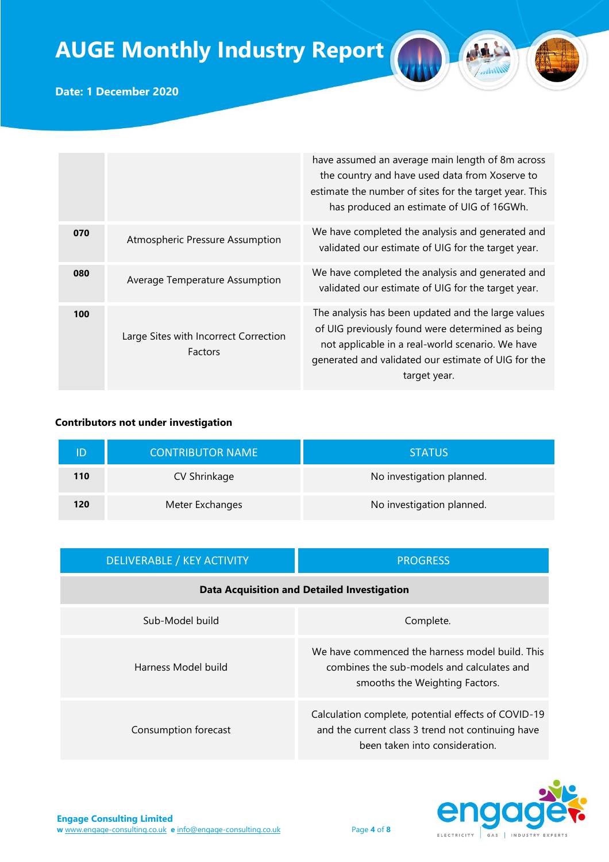

**Date: 1 December 2020**

|     |                                                         | have assumed an average main length of 8m across<br>the country and have used data from Xoserve to<br>estimate the number of sites for the target year. This<br>has produced an estimate of UIG of 16GWh.                         |
|-----|---------------------------------------------------------|-----------------------------------------------------------------------------------------------------------------------------------------------------------------------------------------------------------------------------------|
| 070 | Atmospheric Pressure Assumption                         | We have completed the analysis and generated and<br>validated our estimate of UIG for the target year.                                                                                                                            |
| 080 | Average Temperature Assumption                          | We have completed the analysis and generated and<br>validated our estimate of UIG for the target year.                                                                                                                            |
| 100 | Large Sites with Incorrect Correction<br><b>Factors</b> | The analysis has been updated and the large values<br>of UIG previously found were determined as being<br>not applicable in a real-world scenario. We have<br>generated and validated our estimate of UIG for the<br>target year. |

#### **Contributors not under investigation**

|     | <b>CONTRIBUTOR NAME</b> | <b>STATUS</b>             |
|-----|-------------------------|---------------------------|
| 110 | CV Shrinkage            | No investigation planned. |
| 120 | Meter Exchanges         | No investigation planned. |

| <b>DELIVERABLE / KEY ACTIVITY</b>                  | <b>PROGRESS</b>                                                                                                                            |  |
|----------------------------------------------------|--------------------------------------------------------------------------------------------------------------------------------------------|--|
| <b>Data Acquisition and Detailed Investigation</b> |                                                                                                                                            |  |
| Sub-Model build                                    | Complete.                                                                                                                                  |  |
| Harness Model build                                | We have commenced the harness model build. This<br>combines the sub-models and calculates and<br>smooths the Weighting Factors.            |  |
| Consumption forecast                               | Calculation complete, potential effects of COVID-19<br>and the current class 3 trend not continuing have<br>been taken into consideration. |  |

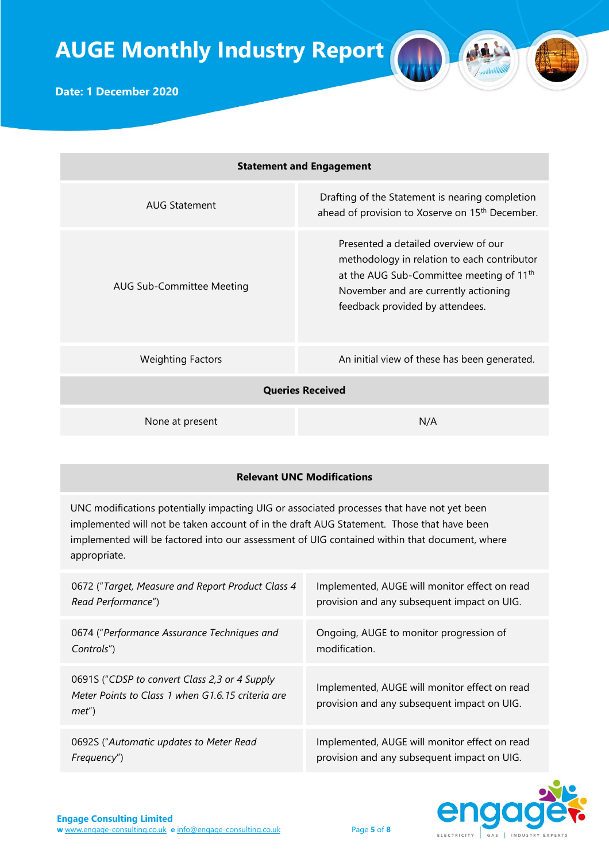| <b>Statement and Engagement</b>  |                                                                                                                                                                                                                        |
|----------------------------------|------------------------------------------------------------------------------------------------------------------------------------------------------------------------------------------------------------------------|
| AUG Statement                    | Drafting of the Statement is nearing completion<br>ahead of provision to Xoserve on 15 <sup>th</sup> December.                                                                                                         |
| <b>AUG Sub-Committee Meeting</b> | Presented a detailed overview of our<br>methodology in relation to each contributor<br>at the AUG Sub-Committee meeting of 11 <sup>th</sup><br>November and are currently actioning<br>feedback provided by attendees. |
| <b>Weighting Factors</b>         | An initial view of these has been generated.                                                                                                                                                                           |
|                                  | <b>Queries Received</b>                                                                                                                                                                                                |
| None at present                  | N/A                                                                                                                                                                                                                    |

## **Relevant UNC Modifications**

UNC modifications potentially impacting UIG or associated processes that have not yet been implemented will not be taken account of in the draft AUG Statement. Those that have been implemented will be factored into our assessment of UIG contained within that document, where appropriate.

| 0672 ("Target, Measure and Report Product Class 4                                                          | Implemented, AUGE will monitor effect on read                                                |
|------------------------------------------------------------------------------------------------------------|----------------------------------------------------------------------------------------------|
| Read Performance")                                                                                         | provision and any subsequent impact on UIG.                                                  |
| 0674 ("Performance Assurance Techniques and                                                                | Ongoing, AUGE to monitor progression of                                                      |
| Controls")                                                                                                 | modification.                                                                                |
| 0691S ("CDSP to convert Class 2,3 or 4 Supply<br>Meter Points to Class 1 when G1.6.15 criteria are<br>met' | Implemented, AUGE will monitor effect on read<br>provision and any subsequent impact on UIG. |
| 0692S ("Automatic updates to Meter Read                                                                    | Implemented, AUGE will monitor effect on read                                                |
| Frequency")                                                                                                | provision and any subsequent impact on UIG.                                                  |

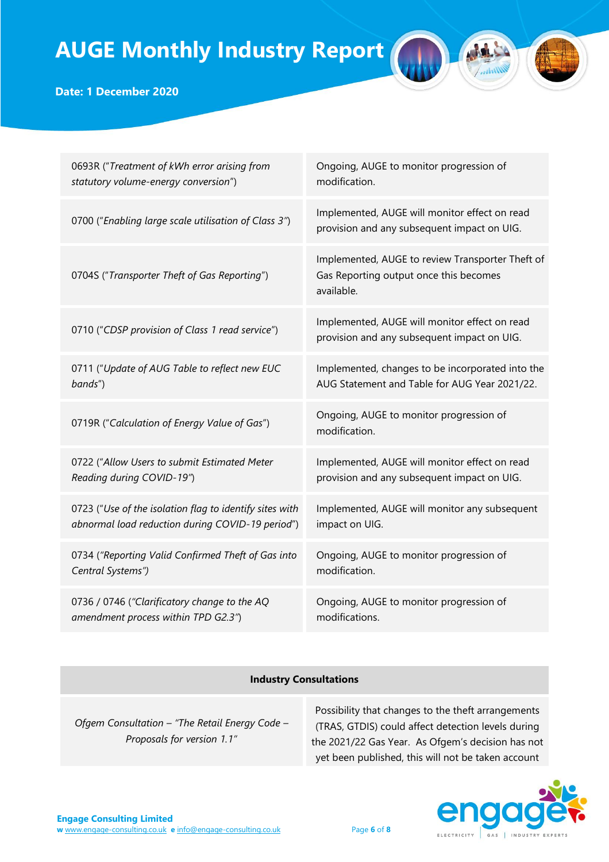

## **Date: 1 December 2020**

| 0693R ("Treatment of kWh error arising from             | Ongoing, AUGE to monitor progression of                                                                  |
|---------------------------------------------------------|----------------------------------------------------------------------------------------------------------|
| statutory volume-energy conversion")                    | modification.                                                                                            |
| 0700 ("Enabling large scale utilisation of Class 3")    | Implemented, AUGE will monitor effect on read<br>provision and any subsequent impact on UIG.             |
| 0704S ("Transporter Theft of Gas Reporting")            | Implemented, AUGE to review Transporter Theft of<br>Gas Reporting output once this becomes<br>available. |
| 0710 ("CDSP provision of Class 1 read service")         | Implemented, AUGE will monitor effect on read<br>provision and any subsequent impact on UIG.             |
| 0711 ("Update of AUG Table to reflect new EUC           | Implemented, changes to be incorporated into the                                                         |
| bands")                                                 | AUG Statement and Table for AUG Year 2021/22.                                                            |
| 0719R ("Calculation of Energy Value of Gas")            | Ongoing, AUGE to monitor progression of<br>modification.                                                 |
| 0722 ("Allow Users to submit Estimated Meter            | Implemented, AUGE will monitor effect on read                                                            |
| Reading during COVID-19")                               | provision and any subsequent impact on UIG.                                                              |
| 0723 ("Use of the isolation flag to identify sites with | Implemented, AUGE will monitor any subsequent                                                            |
| abnormal load reduction during COVID-19 period")        | impact on UIG.                                                                                           |
| 0734 ("Reporting Valid Confirmed Theft of Gas into      | Ongoing, AUGE to monitor progression of                                                                  |
| Central Systems")                                       | modification.                                                                                            |
| 0736 / 0746 ("Clarificatory change to the AQ            | Ongoing, AUGE to monitor progression of                                                                  |
| amendment process within TPD G2.3")                     | modifications.                                                                                           |

### **Industry Consultations**

*Ofgem Consultation – "The Retail Energy Code – Proposals for version 1.1"*

Possibility that changes to the theft arrangements (TRAS, GTDIS) could affect detection levels during the 2021/22 Gas Year. As Ofgem's decision has not yet been published, this will not be taken account

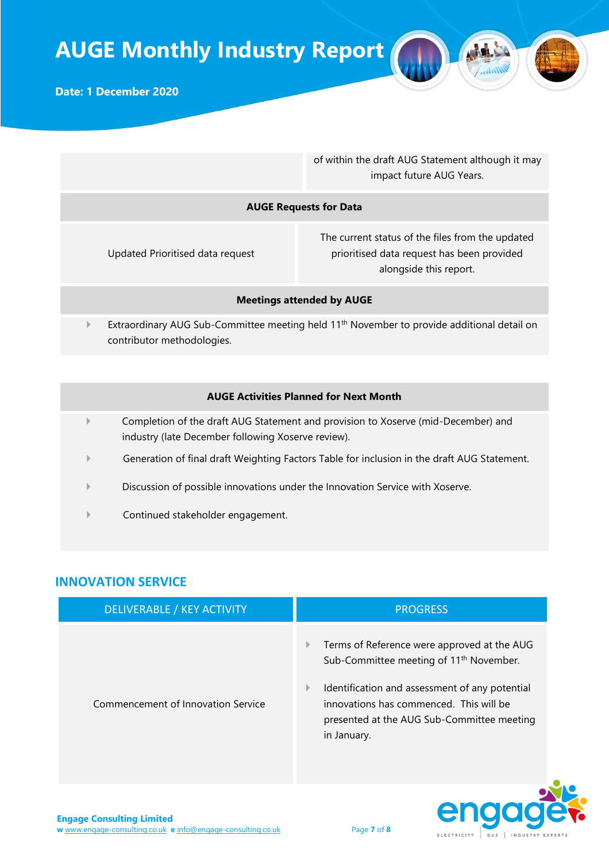

of within the draft AUG Statement although it may impact future AUG Years.

#### **AUGE Requests for Data**

Updated Prioritised data request

The current status of the files from the updated prioritised data request has been provided alongside this report.

#### **Meetings attended by AUGE**

Extraordinary AUG Sub-Committee meeting held 11<sup>th</sup> November to provide additional detail on contributor methodologies.

#### **AUGE Activities Planned for Next Month**

- Completion of the draft AUG Statement and provision to Xoserve (mid-December) and industry (late December following Xoserve review).
- Generation of final draft Weighting Factors Table for inclusion in the draft AUG Statement.
- Discussion of possible innovations under the Innovation Service with Xoserve.
- Continued stakeholder engagement.

### **INNOVATION SERVICE**

| DELIVERABLE / KEY ACTIVITY         | <b>PROGRESS</b>                                                                                                                                                                                                                                                                   |
|------------------------------------|-----------------------------------------------------------------------------------------------------------------------------------------------------------------------------------------------------------------------------------------------------------------------------------|
| Commencement of Innovation Service | Terms of Reference were approved at the AUG<br>$\mathbb{P}$<br>Sub-Committee meeting of 11 <sup>th</sup> November.<br>Identification and assessment of any potential<br>₽<br>innovations has commenced. This will be<br>presented at the AUG Sub-Committee meeting<br>in January. |